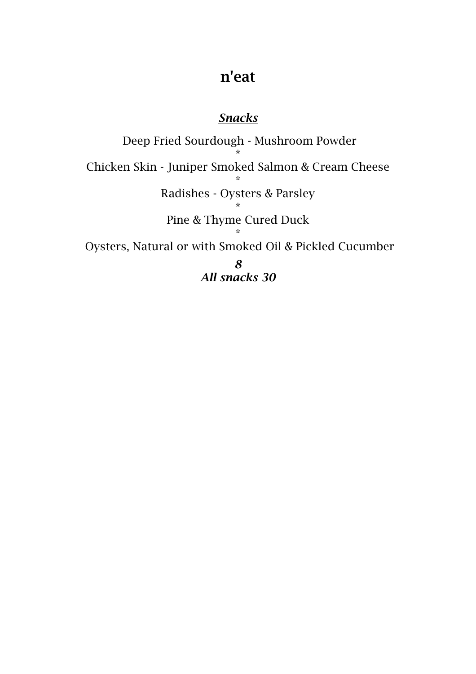## n'eat

## *Snacks*

Deep Fried Sourdough - Mushroom Powder \* Chicken Skin - Juniper Smoked Salmon & Cream Cheese \* Radishes - Oysters & Parsley \* Pine & Thyme Cured Duck \* Oysters, Natural or with Smoked Oil & Pickled Cucumber *8 All snacks 30*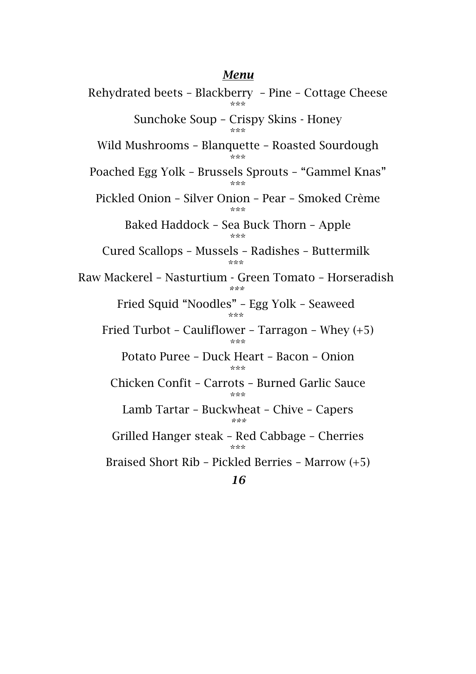## *Menu*

Rehydrated beets – Blackberry – Pine – Cottage Cheese \*\*\* Sunchoke Soup – Crispy Skins - Honey \*\*\* Wild Mushrooms – Blanquette – Roasted Sourdough \*\*\* Poached Egg Yolk – Brussels Sprouts – "Gammel Knas" \*\*\* Pickled Onion – Silver Onion – Pear – Smoked Crème \*\*\* Baked Haddock – Sea Buck Thorn – Apple \*\*\* Cured Scallops – Mussels – Radishes – Buttermilk \*\*\* Raw Mackerel – Nasturtium - Green Tomato – Horseradish *\*\*\** Fried Squid "Noodles" – Egg Yolk – Seaweed \*\*\* Fried Turbot – Cauliflower – Tarragon – Whey (+5) \*\*\* Potato Puree – Duck Heart – Bacon – Onion .<br>ماله ماله ماله Chicken Confit – Carrots – Burned Garlic Sauce \*\*\* Lamb Tartar – Buckwheat – Chive – Capers *\*\*\** Grilled Hanger steak – Red Cabbage – Cherries .<br>ماله ماله ماله Braised Short Rib – Pickled Berries – Marrow (+5) *16*